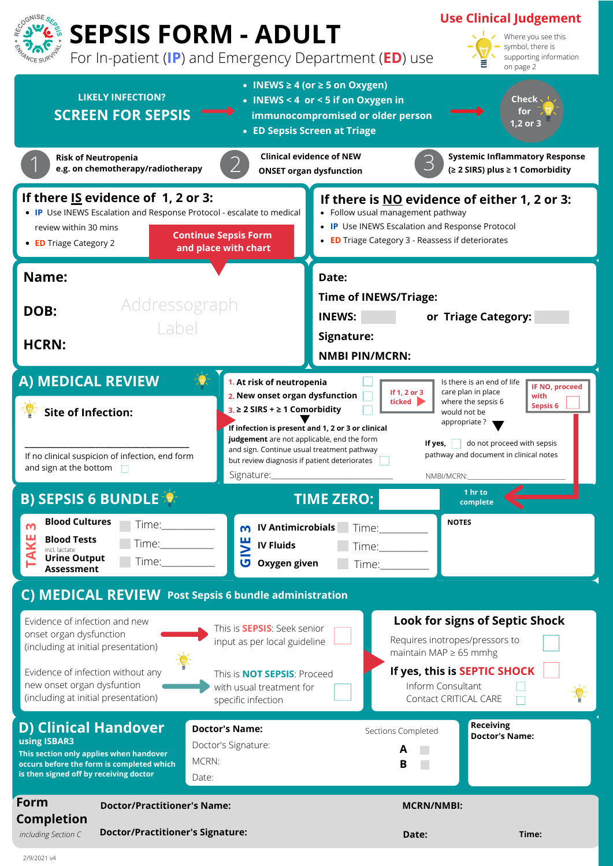| and sign at the bottom                                                                                                                                                                                    | Signature:                                                                                                                                                  | NMBI/MCRN:                              |                                                                                                                                                                                                       |  |
|-----------------------------------------------------------------------------------------------------------------------------------------------------------------------------------------------------------|-------------------------------------------------------------------------------------------------------------------------------------------------------------|-----------------------------------------|-------------------------------------------------------------------------------------------------------------------------------------------------------------------------------------------------------|--|
| <b>B) SEPSIS 6 BUNDLE</b>                                                                                                                                                                                 | <b>TIME ZERO:</b>                                                                                                                                           |                                         | $1$ hr to<br>complete                                                                                                                                                                                 |  |
| <b>Blood Cultures</b><br>Time: T<br>M<br><b>Blood Tests</b><br>Time: T<br>incl. lactate<br><b>Urine Output</b><br>Time:<br><b>Assessment</b>                                                              | <b>IV Antimicrobials</b><br>m<br>븬<br><b>IV Fluids</b><br>U<br><b>Oxygen given</b>                                                                          | <b>NOTES</b><br>Time:<br>Time:<br>Time: |                                                                                                                                                                                                       |  |
| C) MEDICAL REVIEW Post Sepsis 6 bundle administration                                                                                                                                                     |                                                                                                                                                             |                                         |                                                                                                                                                                                                       |  |
| Evidence of infection and new<br>onset organ dysfunction<br>(including at initial presentation)<br>Evidence of infection without any<br>new onset organ dysfuntion<br>(including at initial presentation) | This is <b>SEPSIS</b> : Seek senior<br>input as per local guideline<br>This is <b>NOT SEPSIS:</b> Proceed<br>with usual treatment for<br>specific infection |                                         | <b>Look for signs of Septic Shock</b><br>Requires inotropes/pressors to<br>maintain MAP $\geq$ 65 mmhg<br>If yes, this is SEPTIC SHOCK<br>Inform Consultant<br>$\frac{1}{2}$<br>Contact CRITICAL CARE |  |
| D) Clinical Handover<br>using ISBAR3<br>This section only applies when handover<br>occurs before the form is completed which<br>is then signed off by receiving doctor                                    | <b>Doctor's Name:</b><br>Doctor's Signature:<br>MCRN:<br>Date:                                                                                              | Sections Completed<br>A<br>B            | <b>Receiving</b><br><b>Doctor's Name:</b>                                                                                                                                                             |  |
| Form<br><b>Doctor/Practitioner's Name:</b>                                                                                                                                                                |                                                                                                                                                             | <b>MCRN/NMBI:</b>                       |                                                                                                                                                                                                       |  |
| <b>Completion</b><br><b>Doctor/Practitioner's Signature:</b><br>including Section C                                                                                                                       |                                                                                                                                                             | Date:                                   | Time:                                                                                                                                                                                                 |  |



2/9/2021 v4